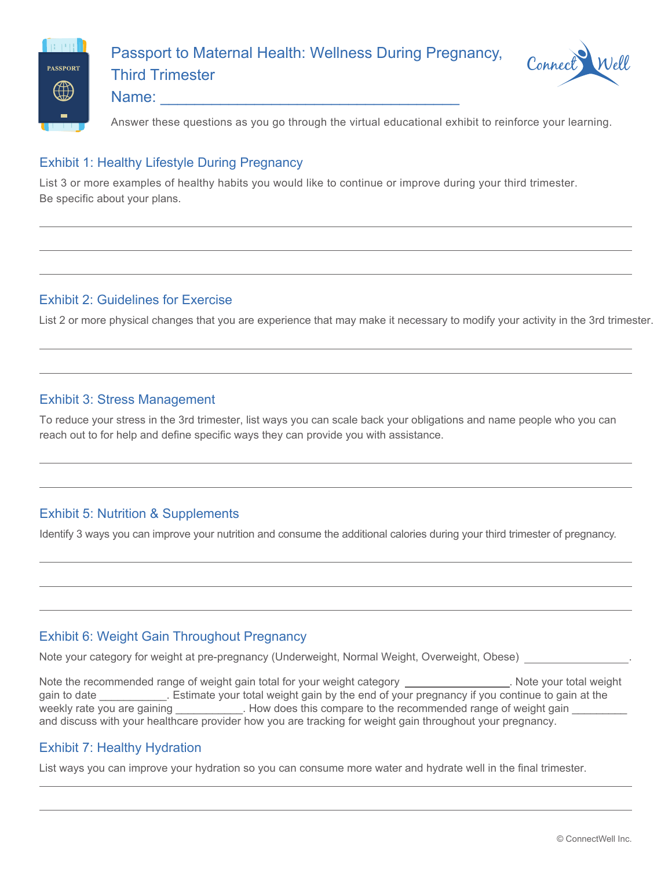

Passport to Maternal Health: Thrive Postpartum

Name: \_\_\_\_\_\_\_\_\_\_\_\_\_\_\_\_\_\_\_\_\_\_\_\_\_\_\_\_\_\_\_\_\_\_\_



Answer these questions as you go through the virtual educational exhibit to reinforce your learning.

#### Exhibit 1: Birth and Transition

List any health assessments and considerations that you want to discuss with your healthcare provider.

Baby: The state of the state of the state of the state of the state of the state of the state of the state of the state of the state of the state of the state of the state of the state of the state of the state of the stat

## Exhibit 2: Breastfeeding Your Baby

The American Academy of Pediatrics recommends breastfeeding exclusively for the first \_\_\_ months. Think through ways that you can integrate breastfeeding into your life during the postpartum period to achieve this recommendation. If unable to breastfeed for the recommended period or to breastfeed at all, note how you plan to nourish your baby.

## Exhibit 3: First Year Medical Visits for Baby

Make sure you have your pediatrician visits scheduled with your healthcare provider so that you can ensure your baby is tracking well developmentally. Date you will check you have all visits scheduled and call office of healthcare provider

## Exhibit 4: Emotional Changes and Postpartum Depression

Take note of your mental health to determine if you are experiencing maternal or paternal postpartum depression. Devise a plan to ensure you are doing OK emotionally and what steps to take if you need assistance.

# Exhibit 5: Postpartum Family Planning

List contraception options that you will consider before resuming sexual activity.

## Exhibit 6: Healthy Lifestyle Postpartum

List areas of healthy lifestyle practices that you will focus on postpartum.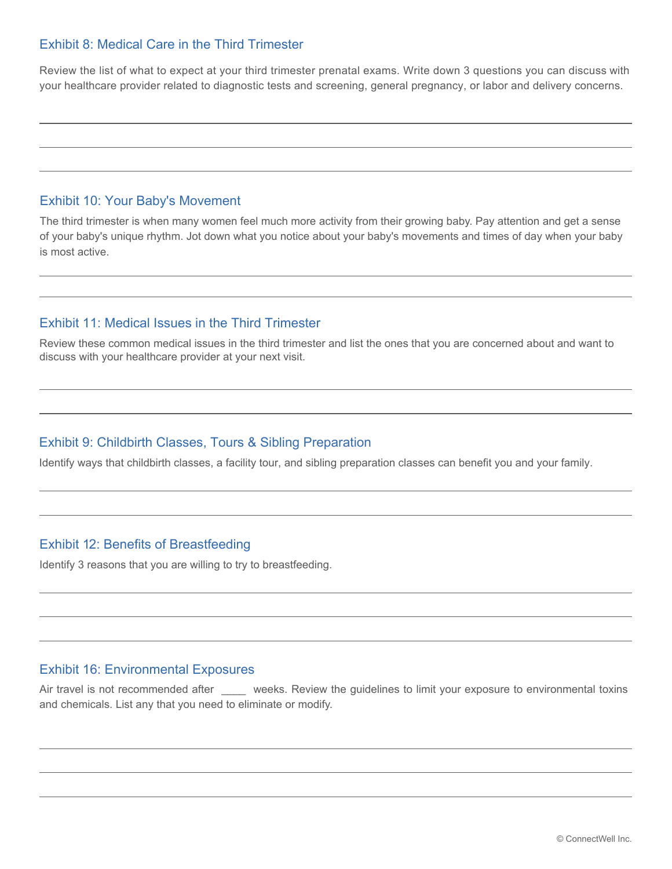## Exhibit 7: Physical Activity Postpartum

Exercises that heal perineal tissue and pelvic muscles after childbirth are called exercise. List the exercise activities you plan to start after your body begins to heal and you regain your strength.

### Exhibit 8: Managing Stress with a Newborn

List the areas you will need to focus on to help you manage stress with your new baby.

## Exhibit 9: Sleep for You and Your Baby

List some tips that will help your baby sleep well during the night so that you can sleep well.

### Exhibit 10: Postpartum Nutrition and Supplement Guidelines

List ways you can healthfully consume the calories you need to support your body as it heals and nurture your baby while you breastfeed.

## Exhibit 11: Foods to Avoid While Breastfeeding

Which foods on this list do you typically consume that you will be aware of avoiding if your baby shows food sensitivity to what you are eating.

#### Exhibit 12: Healthy Hydration While Breastfeeding

If you are breastfeeding, list ways you will hydrate healthfully to ensure you are consuming enough water and other healthy liquids and time your caffeine and alcoholic beverages.